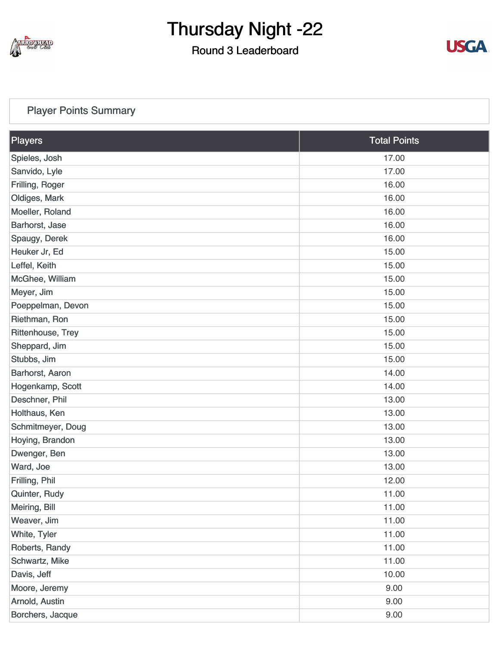

#### Round 3 Leaderboard



#### [Player Points Summary](https://static.golfgenius.com/v2tournaments/total_points?league_id=8410389304542504110&round_id=8410393913612838365)

| Players           | <b>Total Points</b> |
|-------------------|---------------------|
| Spieles, Josh     | 17.00               |
| Sanvido, Lyle     | 17.00               |
| Frilling, Roger   | 16.00               |
| Oldiges, Mark     | 16.00               |
| Moeller, Roland   | 16.00               |
| Barhorst, Jase    | 16.00               |
| Spaugy, Derek     | 16.00               |
| Heuker Jr, Ed     | 15.00               |
| Leffel, Keith     | 15.00               |
| McGhee, William   | 15.00               |
| Meyer, Jim        | 15.00               |
| Poeppelman, Devon | 15.00               |
| Riethman, Ron     | 15.00               |
| Rittenhouse, Trey | 15.00               |
| Sheppard, Jim     | 15.00               |
| Stubbs, Jim       | 15.00               |
| Barhorst, Aaron   | 14.00               |
| Hogenkamp, Scott  | 14.00               |
| Deschner, Phil    | 13.00               |
| Holthaus, Ken     | 13.00               |
| Schmitmeyer, Doug | 13.00               |
| Hoying, Brandon   | 13.00               |
| Dwenger, Ben      | 13.00               |
| Ward, Joe         | 13.00               |
| Frilling, Phil    | 12.00               |
| Quinter, Rudy     | 11.00               |
| Meiring, Bill     | 11.00               |
| Weaver, Jim       | 11.00               |
| White, Tyler      | 11.00               |
| Roberts, Randy    | 11.00               |
| Schwartz, Mike    | 11.00               |
| Davis, Jeff       | 10.00               |
| Moore, Jeremy     | 9.00                |
| Arnold, Austin    | 9.00                |
| Borchers, Jacque  | 9.00                |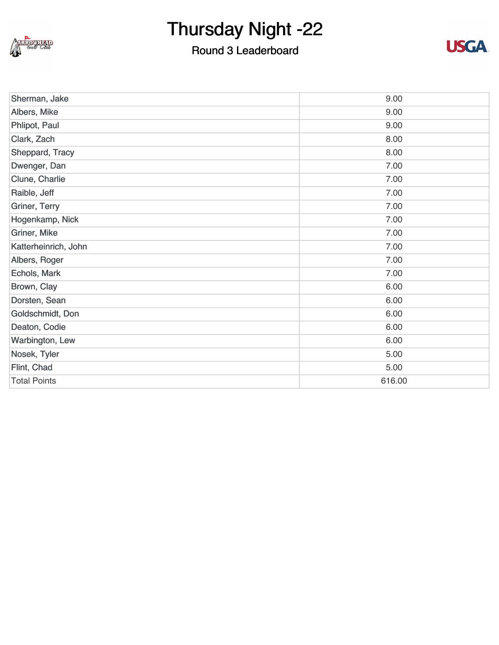

#### Round 3 Leaderboard



| Sherman, Jake        | 9.00   |
|----------------------|--------|
| Albers, Mike         | 9.00   |
| Phlipot, Paul        | 9.00   |
| Clark, Zach          | 8.00   |
| Sheppard, Tracy      | 8.00   |
| Dwenger, Dan         | 7.00   |
| Clune, Charlie       | 7.00   |
| Raible, Jeff         | 7.00   |
| Griner, Terry        | 7.00   |
| Hogenkamp, Nick      | 7.00   |
| Griner, Mike         | 7.00   |
| Katterheinrich, John | 7.00   |
| Albers, Roger        | 7.00   |
| Echols, Mark         | 7.00   |
| Brown, Clay          | 6.00   |
| Dorsten, Sean        | 6.00   |
| Goldschmidt, Don     | 6.00   |
| Deaton, Codie        | 6.00   |
| Warbington, Lew      | 6.00   |
| Nosek, Tyler         | 5.00   |
| Flint, Chad          | 5.00   |
| <b>Total Points</b>  | 616.00 |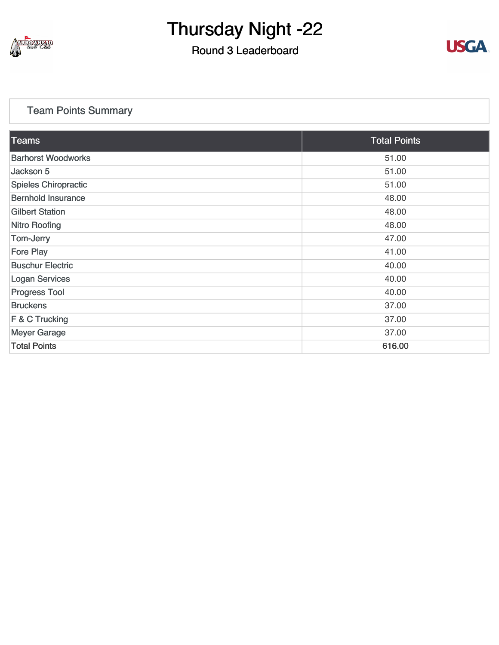

#### Round 3 Leaderboard



#### [Team Points Summary](https://static.golfgenius.com/v2tournaments/team_points?league_id=8410389304542504110&round_id=8410393913612838365)

| <b>Teams</b>              | <b>Total Points</b> |
|---------------------------|---------------------|
| <b>Barhorst Woodworks</b> | 51.00               |
| Jackson 5                 | 51.00               |
| Spieles Chiropractic      | 51.00               |
| <b>Bernhold Insurance</b> | 48.00               |
| <b>Gilbert Station</b>    | 48.00               |
| <b>Nitro Roofing</b>      | 48.00               |
| Tom-Jerry                 | 47.00               |
| <b>Fore Play</b>          | 41.00               |
| <b>Buschur Electric</b>   | 40.00               |
| <b>Logan Services</b>     | 40.00               |
| <b>Progress Tool</b>      | 40.00               |
| <b>Bruckens</b>           | 37.00               |
| F & C Trucking            | 37.00               |
| <b>Meyer Garage</b>       | 37.00               |
| <b>Total Points</b>       | 616.00              |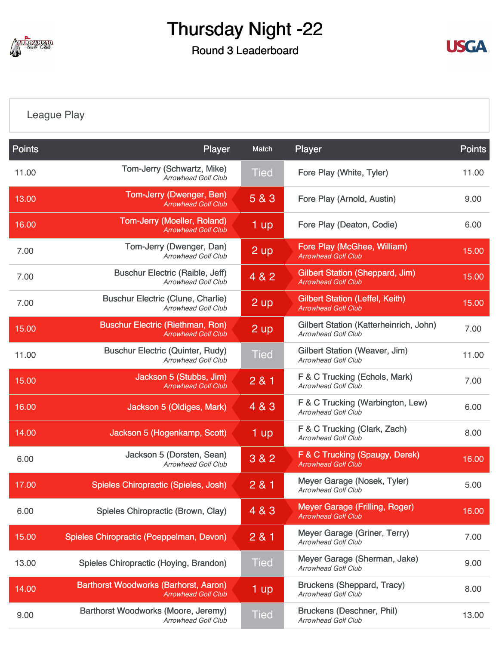

#### Round 3 Leaderboard



[League Play](https://static.golfgenius.com/v2tournaments/8410487659192919543?called_from=&round_index=3)

| <b>Points</b> | Player                                                                     | Match              | Player                                                               | <b>Points</b> |
|---------------|----------------------------------------------------------------------------|--------------------|----------------------------------------------------------------------|---------------|
| 11.00         | Tom-Jerry (Schwartz, Mike)<br>Arrowhead Golf Club                          | <b>Tied</b>        | Fore Play (White, Tyler)                                             | 11.00         |
| 13.00         | Tom-Jerry (Dwenger, Ben)<br><b>Arrowhead Golf Club</b>                     | 5 & 3              | Fore Play (Arnold, Austin)                                           | 9.00          |
| 16.00         | <b>Tom-Jerry (Moeller, Roland)</b><br><b>Arrowhead Golf Club</b>           | $1$ up             | Fore Play (Deaton, Codie)                                            | 6.00          |
| 7.00          | Tom-Jerry (Dwenger, Dan)<br><b>Arrowhead Golf Club</b>                     | $2$ up             | Fore Play (McGhee, William)<br><b>Arrowhead Golf Club</b>            | 15.00         |
| 7.00          | <b>Buschur Electric (Raible, Jeff)</b><br><b>Arrowhead Golf Club</b>       | 4 & 2              | <b>Gilbert Station (Sheppard, Jim)</b><br><b>Arrowhead Golf Club</b> | 15.00         |
| 7.00          | <b>Buschur Electric (Clune, Charlie)</b><br>Arrowhead Golf Club            | $2 \overline{up}$  | <b>Gilbert Station (Leffel, Keith)</b><br><b>Arrowhead Golf Club</b> | 15.00         |
| 15.00         | <b>Buschur Electric (Riethman, Ron)</b><br><b>Arrowhead Golf Club</b>      | $2 \mathsf{up}$    | Gilbert Station (Katterheinrich, John)<br><b>Arrowhead Golf Club</b> | 7.00          |
| 11.00         | <b>Buschur Electric (Quinter, Rudy)</b><br><b>Arrowhead Golf Club</b>      | <b>Tied</b>        | Gilbert Station (Weaver, Jim)<br><b>Arrowhead Golf Club</b>          | 11.00         |
| 15.00         | Jackson 5 (Stubbs, Jim)<br><b>Arrowhead Golf Club</b>                      | 2 & 1              | F & C Trucking (Echols, Mark)<br><b>Arrowhead Golf Club</b>          | 7.00          |
| 16.00         | Jackson 5 (Oldiges, Mark)                                                  | 4 & 3              | F & C Trucking (Warbington, Lew)<br><b>Arrowhead Golf Club</b>       | 6.00          |
| 14.00         | Jackson 5 (Hogenkamp, Scott)                                               | $1 \overline{up}$  | F & C Trucking (Clark, Zach)<br><b>Arrowhead Golf Club</b>           | 8.00          |
| 6.00          | Jackson 5 (Dorsten, Sean)<br><b>Arrowhead Golf Club</b>                    | 3 & 2              | F & C Trucking (Spaugy, Derek)<br><b>Arrowhead Golf Club</b>         | 16.00         |
| 17.00         | Spieles Chiropractic (Spieles, Josh)                                       | 2 & 1              | Meyer Garage (Nosek, Tyler)<br><b>Arrowhead Golf Club</b>            | 5.00          |
| 6.00          | Spieles Chiropractic (Brown, Clay)                                         | 4 & 3              | Meyer Garage (Frilling, Roger)<br><b>Arrowhead Golf Club</b>         | 16.00         |
| 15.00         | Spieles Chiropractic (Poeppelman, Devon)                                   | 281                | Meyer Garage (Griner, Terry)<br><b>Arrowhead Golf Club</b>           | 7.00          |
| 13.00         | Spieles Chiropractic (Hoying, Brandon)                                     | <b>Tied</b>        | Meyer Garage (Sherman, Jake)<br><b>Arrowhead Golf Club</b>           | 9.00          |
| 14.00         | <b>Barthorst Woodworks (Barhorst, Aaron)</b><br><b>Arrowhead Golf Club</b> | $1 \, \mathrm{up}$ | <b>Bruckens (Sheppard, Tracy)</b><br>Arrowhead Golf Club             | 8.00          |
| 9.00          | Barthorst Woodworks (Moore, Jeremy)<br><b>Arrowhead Golf Club</b>          | <b>Tied</b>        | Bruckens (Deschner, Phil)<br><b>Arrowhead Golf Club</b>              | 13.00         |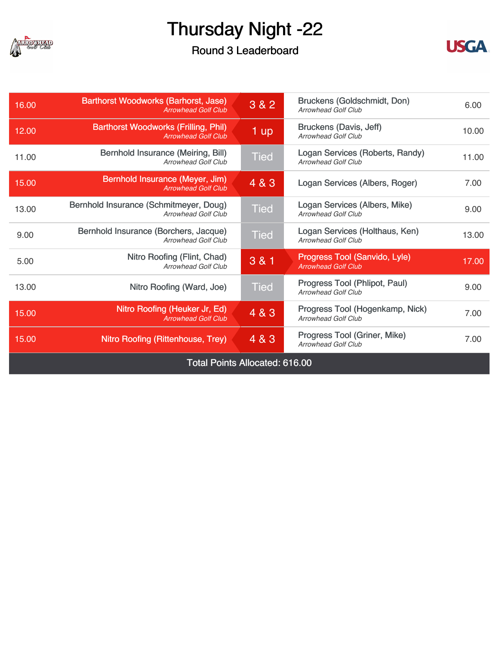

Round 3 Leaderboard



| 16.00                                 | <b>Barthorst Woodworks (Barhorst, Jase)</b><br><b>Arrowhead Golf Club</b> | 3 & 2       | Bruckens (Goldschmidt, Don)<br><b>Arrowhead Golf Club</b>     | 6.00  |
|---------------------------------------|---------------------------------------------------------------------------|-------------|---------------------------------------------------------------|-------|
| 12.00                                 | <b>Barthorst Woodworks (Frilling, Phil)</b><br><b>Arrowhead Golf Club</b> | $1$ up      | Bruckens (Davis, Jeff)<br><b>Arrowhead Golf Club</b>          | 10.00 |
| 11.00                                 | <b>Bernhold Insurance (Meiring, Bill)</b><br><b>Arrowhead Golf Club</b>   | <b>Tied</b> | Logan Services (Roberts, Randy)<br><b>Arrowhead Golf Club</b> | 11.00 |
| 15.00                                 | Bernhold Insurance (Meyer, Jim)<br><b>Arrowhead Golf Club</b>             | 4 & 3       | Logan Services (Albers, Roger)                                | 7.00  |
| 13.00                                 | Bernhold Insurance (Schmitmeyer, Doug)<br><b>Arrowhead Golf Club</b>      | <b>Tied</b> | Logan Services (Albers, Mike)<br><b>Arrowhead Golf Club</b>   | 9.00  |
| 9.00                                  | Bernhold Insurance (Borchers, Jacque)<br><b>Arrowhead Golf Club</b>       | <b>Tied</b> | Logan Services (Holthaus, Ken)<br><b>Arrowhead Golf Club</b>  | 13.00 |
| 5.00                                  | Nitro Roofing (Flint, Chad)<br><b>Arrowhead Golf Club</b>                 | 3 & 1       | Progress Tool (Sanvido, Lyle)<br><b>Arrowhead Golf Club</b>   | 17.00 |
| 13.00                                 | Nitro Roofing (Ward, Joe)                                                 | Tied        | Progress Tool (Phlipot, Paul)<br><b>Arrowhead Golf Club</b>   | 9.00  |
| 15.00                                 | Nitro Roofing (Heuker Jr, Ed)<br><b>Arrowhead Golf Club</b>               | 4 & 3       | Progress Tool (Hogenkamp, Nick)<br><b>Arrowhead Golf Club</b> | 7.00  |
| 15.00                                 | Nitro Roofing (Rittenhouse, Trey)                                         | 4 & 3       | Progress Tool (Griner, Mike)<br><b>Arrowhead Golf Club</b>    |       |
| <b>Total Points Allocated: 616.00</b> |                                                                           |             |                                                               |       |